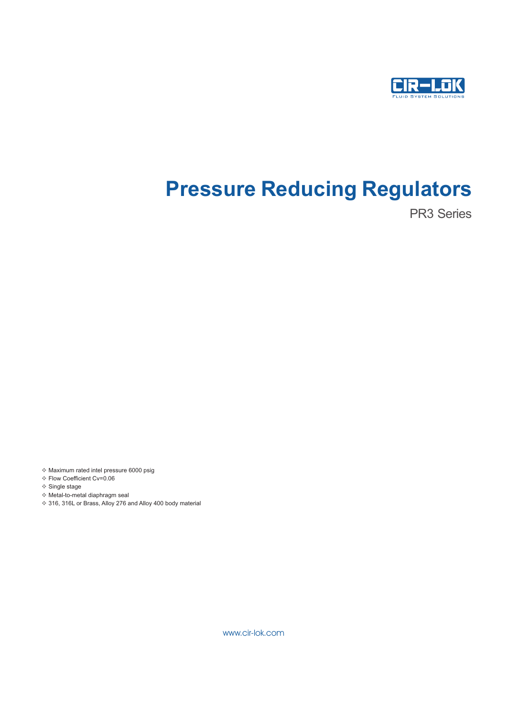

# **Pressure Reducing Regulators**

PR3 Series

v Maximum rated intel pressure 6000 psig

- v Flow Coefficient Cv=0.06
- v Single stage
- v Metal-to-metal diaphragm seal
- ◆ 316, 316L or Brass, Alloy 276 and Alloy 400 body material

www.cir-lok.com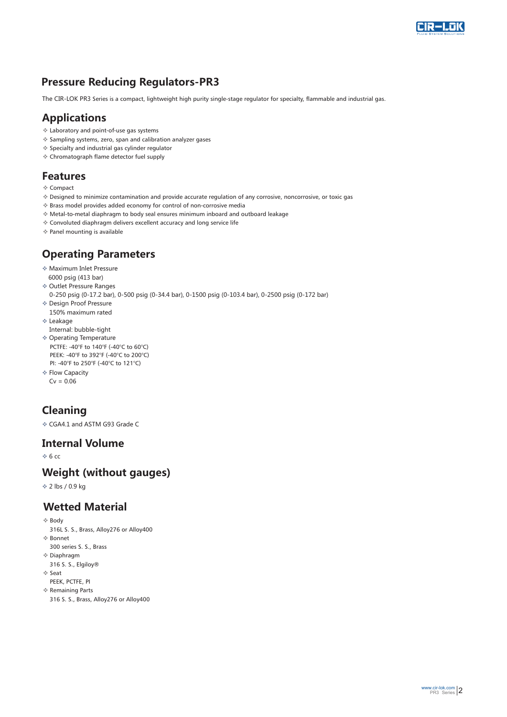

## **Pressure Reducing Regulators-PR3**

The CIR-LOK PR3 Series is a compact, lightweight high purity single-stage regulator for specialty, flammable and industrial gas.

#### **Applications**

- v Laboratory and point-of-use gas systems
- v Sampling systems, zero, span and calibration analyzer gases
- v Specialty and industrial gas cylinder regulator
- v Chromatograph flame detector fuel supply

#### **Features**

- v Compact
- v Designed to minimize contamination and provide accurate regulation of any corrosive, noncorrosive, or toxic gas
- v Brass model provides added economy for control of non-corrosive media
- v Metal-to-metal diaphragm to body seal ensures minimum inboard and outboard leakage
- v Convoluted diaphragm delivers excellent accuracy and long service life
- v Panel mounting is available

### **Operating P arameters**

- ◆ Maximum Inlet Pressure 6000 psig (413 bar)
- v Outlet Pressure Ranges
- 0-250 psig (0-17.2 bar), 0-500 psig (0-34.4 bar), 0-1500 psig (0-103.4 bar), 0-2500 psig (0-172 bar)
- v Design Proof Pressure 150% maximum rated
- v Leakage
- Internal: bubble-tight
- ◈ Operating Temperature
- PCTFE: -40°F to 140°F (-40°C to 60°C) PEEK: -40°F to 392°F (-40°C to 200°C) PI: -40°F to 250°F (-40°C to 121°C)
- ❖ Flow Capacity  $Cy = 0.06$

## **Cleaning**

vCGA4.1 and ASTM G93 Grade C

#### **Int ernal Volume**

 $\div$  6 cc

#### **W eight (without gauges)**

❖ 2 lbs / 0.9 kg

#### **Wetted Material**

- ❖ Body
- 316L S. S., Brass, Alloy276 or Alloy400 v Bonnet
- 300 series S. S., Brass
- $*$  Diaphragm 316 S. S., Elgiloy®
- 
- v Seat
- v Remaining Parts PEEK, PCTFE, PI
- 316 S. S., Brass, Alloy276 or Alloy400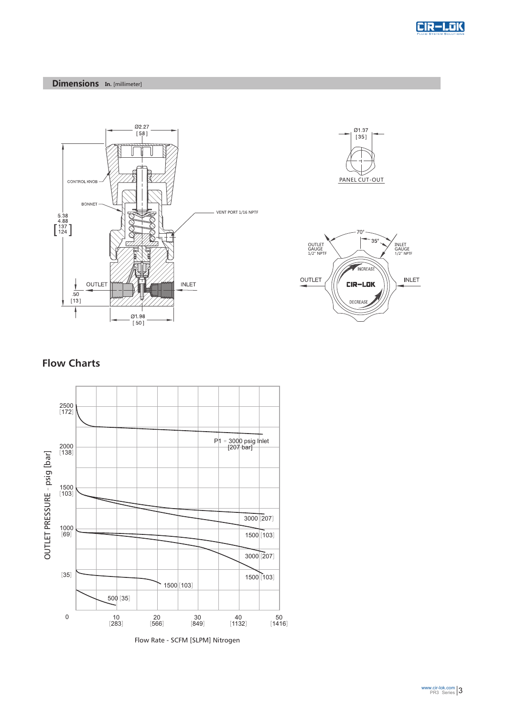







#### **Flow Charts**



Flow Rate - SCFM [SLPM] Nitrogen